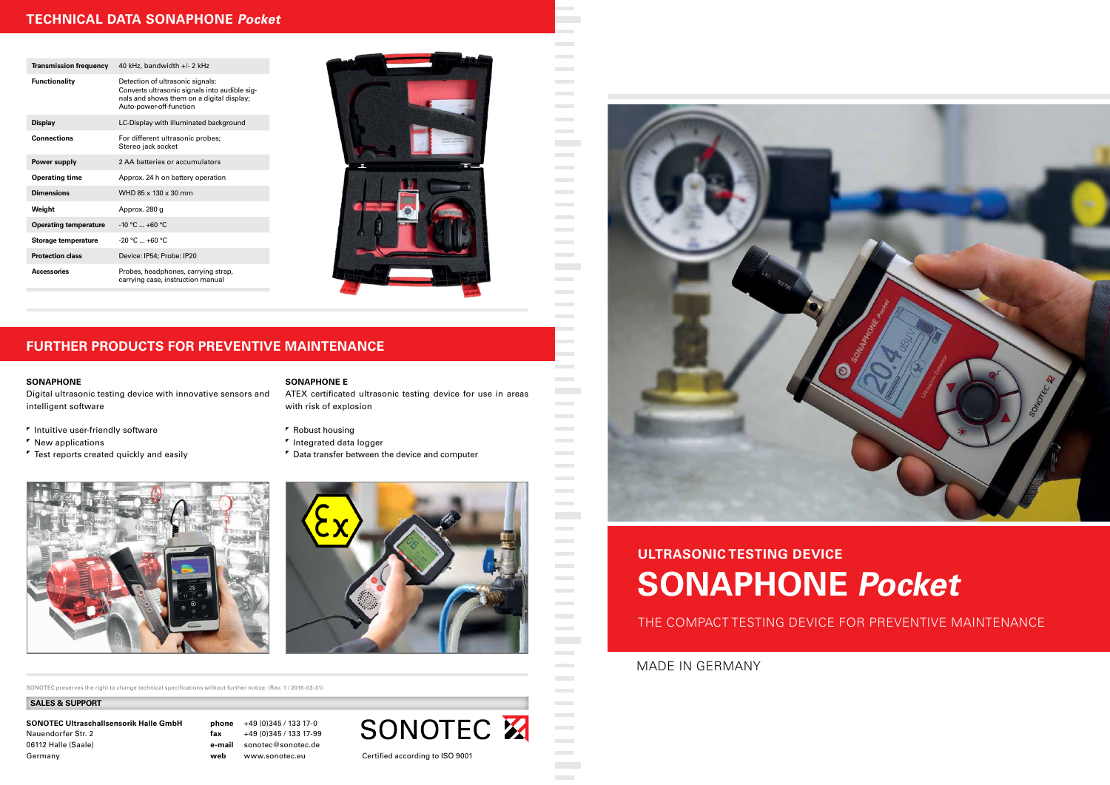

# **ULTRASONIC TESTING DEVICE SONAPHONE Pocket**

THE COMPACT TESTING DEVICE FOR PREVENTIVE MAINTENANCE

MADE IN GERMANY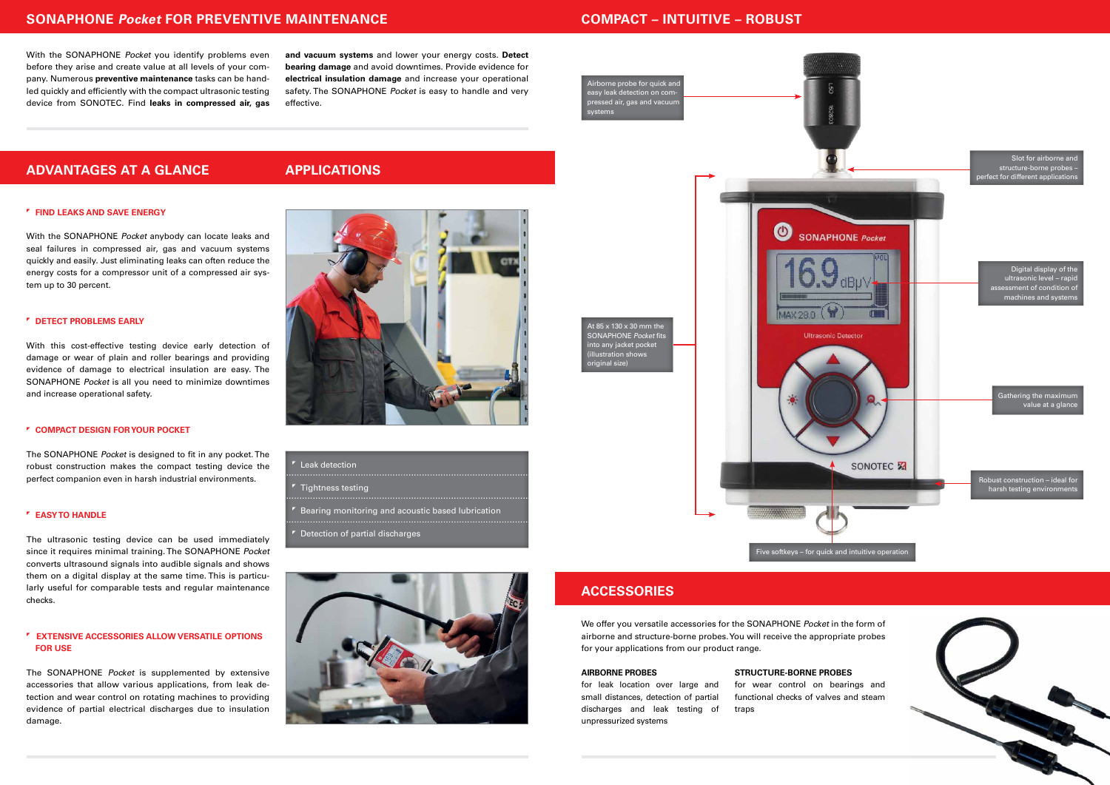### **SONAPHONE Pocket FOR PREVENTIVE MAINTENANCE**

With the SONAPHONE Pocket you identify problems even before they arise and create value at all levels of your company. Numerous **preventive maintenance** tasks can be handled quickly and efficiently with the compact ultrasonic testing device from SONOTEC. Find **leaks in compressed air, gas**  **and vacuum systems** and lower your energy costs. **Detect bearing damage** and avoid downtimes. Provide evidence for **electrical insulation damage** and increase your operational safety. The SONAPHONE Pocket is easy to handle and very effective.

### **ADVANTAGES AT A GLANCE**

#### **FIND LEAKS AND SAVE ENERGY**

With the SONAPHONE Pocket anybody can locate leaks and seal failures in compressed air, gas and vacuum systems quickly and easily. Just eliminating leaks can often reduce the energy costs for a compressor unit of a compressed air system up to 30 percent.

### **DETECT PROBLEMS EARLY**

With this cost-effective testing device early detection of damage or wear of plain and roller bearings and providing evidence of damage to electrical insulation are easy. The SONAPHONE Pocket is all you need to minimize downtimes and increase operational safety.

#### **COMPACT DESIGN FOR YOUR POCKET**

The SONAPHONE Pocket is designed to fit in any pocket. The robust construction makes the compact testing device the perfect companion even in harsh industrial environments.

#### **EASY TO HANDLE**

The ultrasonic testing device can be used immediately since it requires minimal training. The SONAPHONE Pocket converts ultrasound signals into audible signals and shows them on a digital display at the same time. This is particularly useful for comparable tests and regular maintenance checks.

### **EXTENSIVE ACCESSORIES ALLOW VERSATILE OPTIONS FOR USE**

The SONAPHONE Pocket is supplemented by extensive accessories that allow various applications, from leak detection and wear control on rotating machines to providing evidence of partial electrical discharges due to insulation damage.

### **APPLICATIONS**



- Leak detection
- 
- Tightness testing
- Bearing monitoring and acoustic based lubrication
- 
- Detection of partial discharges

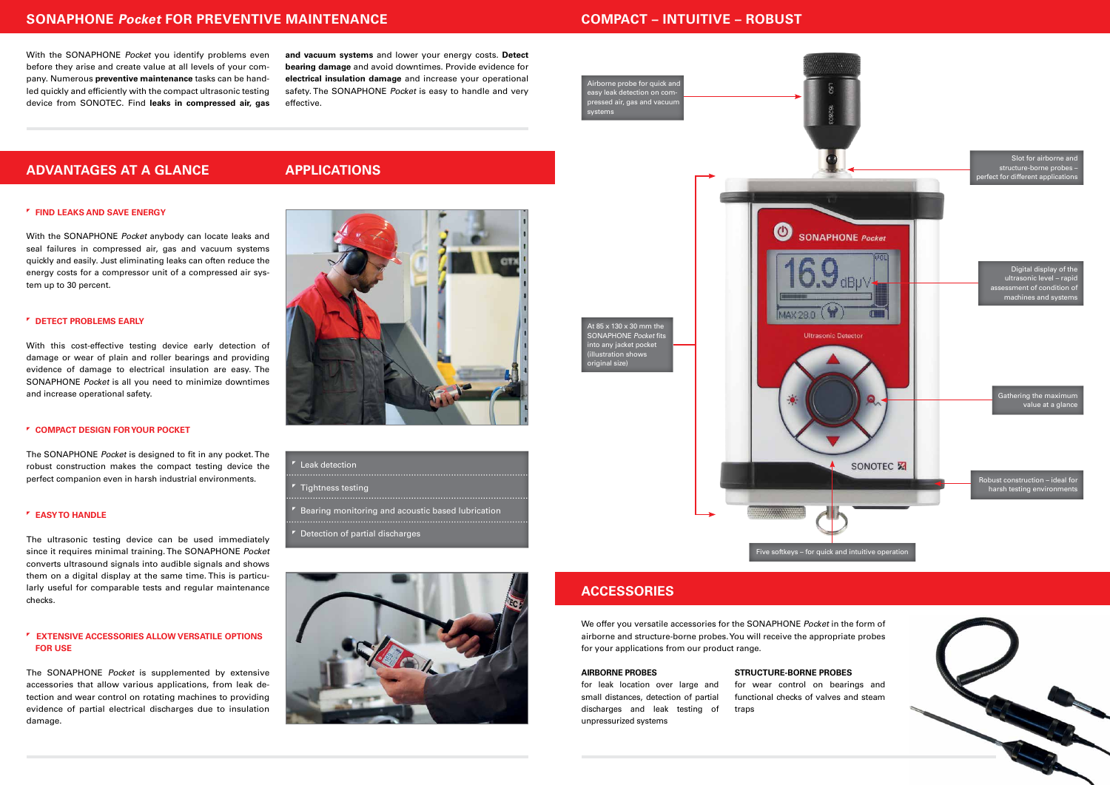### **SONAPHONE Pocket FOR PREVENTIVE MAINTENANCE COMPACT – INTUITIVE – ROBUST**



### **ACCESSORIES**

We offer you versatile accessories for the SONAPHONE Pocket in the form of airborne and structure-borne probes. You will receive the appropriate probes for your applications from our product range.

#### **AIRBORNE PROBES**

for leak location over large and small distances, detection of partial discharges and leak testing of unpressurized systems

### **STRUCTURE-BORNE PROBES**

for wear control on bearings and functional checks of valves and steam traps